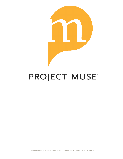

# PROJECT MUSE®

Access Provided by University of Saskatchewan at 01/31/13 4:10PM GMT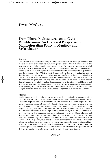## **DAVID MCGRANE**

### **From Liberal Multiculturalism to Civic Republicanism: An Historical Perspective on Multiculturalism Policy in Manitoba and Saskatchewan**

#### **Abstract**

Most research on multiculturalism policy in Canada has focused on the federal government's multiculturalism policy or Quebec's interculturalism policy. However, the multicultural policies that have been active in English Canadian provinces over the last forty years have largely escaped scholarly attention. This article begins to fill this gap in knowledge on Canadian multiculturalism by examining the multiculturalism policies of the Saskatchewan and Manitoba provincial governments from the beginning of the 1970s to present. It argues that the ethos of multiculturalism policy in these two provinces has incrementally evolved from Anglo-conformity to liberal multiculturalism to civic republicanism. While the evolution toward civic republicanism is quite advanced in Manitoba, the Saskatchewan government has displayed less coherence in its multiculturalism policies. Generally speaking, the article finds that these uneven shifts in Saskatchewan and Manitoba multiculturalism have taken place in response to demographic change and the electoral calculations of the governing party. The lesson is that political considerations, as much as broader structural changes in society, are an important part of understanding multiculturalism policy in Canada.

#### **Résumé**

La plus grande partie de la recherche sur les politiques de multiculturalisme au Canada ont mis l'emphase soit sur celle du gouvernement fédéral, ou sur celle d'interculturalisme du Québec. Cependant, les politiques multiculturelles menées dans les provinces du Canada anglais depuis les quarante dernières années ont largement échappé à l'attention des chercheurs. Cet article commence à combler les lacunes dans les connaissances sur le multiculturalisme canadien portant sur les politiques des gouvernements provinciaux de la Saskatchewan et du Manitoba dans ce domaine depuis le début des années soixante-dix jusqu'à aujourd'hui. Nous y soutenons que l'ethos de ces politiques dans ces deux provinces a progressivement évolué de la conformité anglophone au multiculturalisme libéral et au républicanisme civique. Alors que l'évolution vers ce dernier est plutôt avancée au Manitoba, le gouvernement de la Saskatchewan a affiché moins de cohérence dans son évolution. De façon générale, nous constatons ici que les mutations dissemblables du multiculturalisme saskatchewanais et manitobain ont eu lieu en réponse aux changements démographiques et aux calculs électoraux du parti en place au gouvernement. La leçon à en tirer est que les considérations politiques jouent tout autant que des modifications structurelles plus générales au sein de la société un rôle important pour comprendre le multiculturalisme au Canada.

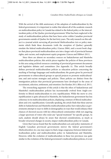With the arrival of the 40th anniversary of the adoption of multiculturalism by the federal government, it is important to realize that almost all of the academic research on multiculturalism policy in Canada has related to the federal policy or the interculturalism policy of the Quebec provincial government. What has been neglected is the study of multiculturalism policies that have been active within Canadian provincial governments outside of Quebec for the last forty years. The only research on this subject is a journal article surveying all provincial *Multiculturalism Acts* or policy statements which finds these documents (with the exception of Quebec) generally emulate the federal multiculturalism policy (Garcea 2006), and a recent book chapter that places provincial multiculturalism acts into a larger web of provincial human rights, anti-racism, and employment equity programs (Garcea and Hibbert 2011).

Since there are almost no secondary sources on Saskatchewan and Manitoba multiculturalism policies, this article pieces together the policies of these provinces in this area using archival resources consisting of provincial government documents and legislative debates and committees (See Appendix A). This article broadly defines provincial multiculturalism policies as education policies concerning the teaching of heritage languages and multiculturalism; the grants given by provincial governments to ethnocultural groups or special projects to promote multiculturalism; and anti-racism strategies and policies. These policies are distinct from the immigration policies that provincial governments have developed in the areas of recruitment, selection, settlement, and retention (See Kordan 2011; Biles et al. 2011).

The overarching argument of this article is that the ethos of Saskatchewan and Manitoba's multiculturalism policies has incrementally evolved from Anglo-conformity to liberal multiculturalism to civic republicanism. While the move to civic republicanism is quite advanced in Manitoba, the Saskatchewan government has less coherence in its multiculturalism policies, displaying a mixture of liberal multiculturalism and civic republicanism. Generally speaking, the article finds that these uneven shifts in Saskatchewan and Manitoba multiculturalism policy have taken place as governments attempt to react to shifts in demographics in ways that would enhance their chances of electoral success with key ethnocultural communities while not angering a larger spectrum of voters who resist any "special treatment" for specific groups. As such, analysts should always be aware that electoral considerations, as much as broader structural changes in society, impact multiculturalism policy in Canada.

Given that Garcea found that the multiculturalism acts and policy statements of English Canadian provincial governments mirror the federal government's *Multiculturalism Act,* one may expect to find a large congruence between federal multiculturalism policy and multiculturalism policy in Saskatchewan and Manitoba. However, while the evolution of multiculturalism in these two provinces was quite similar to the evolution of the federal government's multiculturalism policies, it is not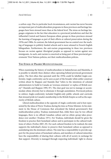a carbon copy. Due to particular local circumstances, anti-racism has never become an important part of multiculturalism programs in these provinces and heritage languages have been stressed more than at the federal level. The stress on heritage languages originates in the fact that education is a provincial jurisdiction and that the influential Central and Eastern European ethnic groups in these provinces stressed the learning of languages as part of their efforts at cultural preservation during the 1970s and 1980s. In contrast, the federal government has no control over the teaching of languages in publicly funded schools and is more attuned to French-English bilingualism. Furthermore, the anti-racism programming in these two provinces focuses on racism against Aboriginal peoples as opposed to racism against new immigrants. As such, anti-racism is conceived as being part of these provincial governments' First Nations policies, not their multiculturalism policies.

#### **THE ETHOS OF PRAIRIE MULTICULTURALISM**

When examining the history of multiculturalism in Saskatchewan and Manitoba, it is possible to identify three distinct ethos operating behind provincial government policy. The first ethos that operated until the 1970s could be labelled Anglo-conformity. Anglo-conformity can be seen as part of the broader white settler construct written about by Jhappan and Stasiulis that "refers to the intentions of colonial administrators to build in Canada an 'overseas extension' or replica of British society" (Stasiulis and Jhappan 1995, 97). The clear goal was not to manage or accommodate ethnic diversity but to eliminate it through assimilation. Provincial policies to enforce Anglo-conformity included English-only public schools and curricula that stressed pride in Canada's membership in the British Empire as well as the superiority of British culture.

Liberal multiculturalism is the opposite of Anglo-conformity and is best represented by the ideas of Pierre Trudeau during his time as Prime Minister. In his statement to the House of Commons that articulated the federal government's first multiculturalism policy, Trudeau maintained that, while there may be two official languages, there is no official Canadian culture and no ethnic group takes precedence over another (Trudeau 1971). For Trudeau, individuals should be given the freedom to practice their homeland culture and to participate in the cultural traditions of others (Forbes 2007, 29). For such cultural freedom to be realized, the state supports the individual's choice to preserve their homeland culture as opposed to assimilating into the dominant culture. The state has a responsibility to provide support for the preservation of homeland cultures, and members of cultural minorities have the responsibility of sharing their cultures with all of society in exchange for that support. Diversity is managed through respecting individuals' right to choose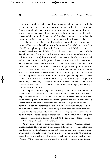their own cultural expression and through sharing minority cultures with the majority in order to generate acceptance of diversity within the general public. Provincial public policies that would be exemplary of liberal multiculturalism would be direct financial grants to ethnocultural associations for cultural retention activities and public support for "multicultural" festivals or museums meant to share the culture of non-British and non-French immigrants with the broader public.

In the early 1990s, liberal multiculturalism came under attack from sources such as MPs from the federal Progressive Conservative Party (PCs) and the federal Liberal Party, right-wing academics, the Bloc Québécois, and "fifth force" immigrant writers like Neil Bissoondath (Abu-Laban and Stasiulis 1992; Roy 1995). While the federal government's response to this attack has been analyzed (Abu-Laban and Gabriel 2002; Ryan 2010), little attention has been paid to the effect that this attack had on multiculturalism at the provincial level. In Manitoba (and to lesser extent, Saskatchewan), the response to these attacks could be termed civic republicanism. Civic republicanism is a philosophical school of thought stretching back to the writings of Aristotle, Cicero, Machiavelli, and Rousseau. Iseult Honohan argues that the idea "that citizens need to be concerned with the common good and to take some personal responsibility for realising it is one of the longest-standing themes of civic republicanism, which flows from understanding citizens as engaged in a political community" (2002, 145). She argues that current debates of civic republicanism revolve around instilling civic virtue in citizens through encouraging their participation in society and politics.

As an approach to managing ethnic diversity, civic republicanism does not try to abolish the existence of diverse homeland cultures through assimilation as does Anglo-conformity. However, unlike liberal multiculturalism, neither does civic republicanism place an emphasis on cultural preservation and cultural sharing. Rather, civic republicanism recognizes the individual's right to retain his or her homeland culture but holds that the preservation of homeland culture should not be an important consideration of state policy. Rather, the primary consideration is for the state to encourage cultural minorities to participate and integrate into the polity in order to forge a sense of shared values. The individual is encouraged to retain his or her homeland culture—but only to the extent that it does not interfere with his or her participation in the broader polity.

At first glance, civic republicanism seems very similar to Quebec's model of interculturalism. However, there is one crucial difference. Quebec interculturalism puts forth the idea that there is a dominant public culture with which new immigrants must participate because the civic Québécois nation, with its unique language, history, and culture, is the principal defining feature of Quebec society (Karmis 2004; Gagnon and Iacovino 2007). Conversely, Honohan argues that civic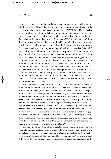republican polities need not be based on the recognition of an overarching nationality but that "republican solidarity is better understood as a commitment to the people with whom we are interdependent in the polity" (2002, 281). Unlike Quebec interculturalism, there is no explicit mention of a dominant culture to which newcomers must integrate within the civic republicanism of Manitoba and Saskatchewan. Rather, similar to what Kernerman (2006) and Winter (2007) have found in the case of Canada, the province is held to a multicultural polity that supposedly has no single dominant culture within it. Government documents suggest that newcomers integrate into a pre-existing multicultural polity called "Manitoba" and "Saskatchewan" whose values and identity is the product of a multicultural history dating back to Confederation. Saskatchewan's culture and Manitoba's culture are, in their essence, multicultural. At the same time, there are clear suggestions that there are certain values, norms, and levels of participation that newcomers are expected to embrace and follow. As such, a newcomer can retain his or her homeland culture but must conform to the "mainstream" practices of the province that are themselves a product of British cultural heritage. Ultimately, the extent to which the shared values and shared identity of civic republicanism in Saskatchewan and Manitoba are actually the values and identity of the cultural majority is an unresolved tension within civic republicanism and remains unclear within public documents pertaining to this issue.

While the term civic republicanism has not been used in literature on Canadian multiculturalism before, several researchers have identified elements of civic republicanism within the English Canadian experience and the policies of the federal government. Both Kernerman (2006) and Winter (2007, 2011) have written about the English Canadian conception of multiculturalism within which all cultures are deemed equal, and the fundamental basis of the English Canadian polity is "multicultural" as opposed to being based on a single nationality. In their conceptualization of civic multiculturalism, Fleras and Elliott identify the importance of "civic participation" and "identity" to recent federal multiculturalism policy (2002, 68). In his more recent work, Fleras discusses how federal multiculturalism policy "engages in a politics of difference without capitulating to chaos or abandoning a commitment to community, consensus, and cohesion" (2009, 57-58). On a more theoretical level, Paquet outlines a "citizenship triangle" in Canadian multiculturalism that encompasses belonging, participation, and status (2008, 71-72).

The concept of an ethos of civic republicanism within Saskatchewan and Manitoba multiculturalism policy is intended to meld together these insights into the nature of contemporary Canadian multiculturalism outside of Quebec. The key for civic republicanism is that no one should have to give up one's culture or change it drastically but that the state must lead citizens to integrate and participate in the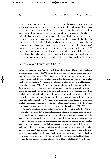polity to ensure that the formation of shared values and a shared sense of belonging are formed. As we will see below, this goal means the de-emphasizing of provincial policies aimed at the retention of homeland culture such as the teaching of heritage languages or direct grants to ethnocultural groups for the purposes of cultural preservation. Rather, the provincial government shifts its emphasis and funding to policies that focus on fostering integration, participation, and shared values. In the Manitoba case, such policies include ESL classes, classes to enhance the understanding of Canadian citizenship among newcomers, settlement services explaining the province's culture, grants to ethnocultural groups for intercultural exchange projects, and a K-12 curriculum that stresses the interdependence of ethnic groups and dual identities (Canadian and one's homeland culture). As we will see, contemporary Saskatchewan policies embrace some of these civic republican themes but are much less developed.

#### **IMPOSING ANGLO-CONFORMITY (1870-1969)**

In the ten years after the Red River Rebellion (1870-1880), Manitoba's population increased from 12,000 to 63,000 due to the arrival of new arrivals almost exclusively from Ontario (Coates and McGuiness 1987, 6-20). The new Ontarian majority seized controlled of the provincial government and passed laws that created English public schools teaching Protestantism, and made English the sole official language of Manitoba (Jaenen 1978). While these laws were temporarily loosened in the early 20th century to allow the teaching of other languages, the provincial government abolished bilingual schools in 1915, and instruction in any language other than English was prohibited. In her study of Manitoba public schools from 1915 to 1945, Bruno-Jofre illustrates that the aim of the provincial government in regard to Manitoba public schools was "to create a homogenous nation based on a common English Canadian language, a common culture, identification with the British Empire, and an acceptance of British institutions and practices" (1998-1999, 27).

Similar to Manitoba, the role of Saskatchewan's school system until the 1960s was to assimilate students into the English language and British-Canadian culture. Initially, the Saskatchewan provincial government permitted non-English languages to be the language of instruction for a very limited amount of time during the school day. However, the provincial government argued that limited instruction in non-English languages was a transitory stage that was needed to encourage non-British immigrant children to attend government-funded schools that would expose them to the English language and the British culture (Smith 1975, 116). Despite the government's insistence that a gradual approach to assimilation was the most prudent course of action, there was constant agitation on the part of English-speaking residents of Saskatchewan to make English the sole language of instruction (Macleod 1968, 140). Near the end of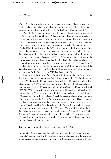World War I, the provincial government banned the teaching of languages other than English and made attendance compulsory at government regulated schools that taught a curriculum stressing patriotic pride in the British Empire (Regehr 2004, 52.)

When the CCF came to power, one of its first acts in office was the passage of the Saskatchewan Rights Bill in 1947 that prohibited discrimination on racial and religious grounds for any person attempting to obtain employment, engage in a business transaction, join a professional or trade association, rent or purchase any property, receive service from a hotel or restaurant, or gain admission to university (Patrias 2006). In tandem with the CCF's efforts to protect individual citizens from overt discrimination, there remained an expectation that all citizens in Saskatchewan would assimilate into British-Canadian culture and would not retain their homeland languages (Waiser 2009). The CCF government did not remove the restrictions on teaching languages other than English in Saskatchewan schools, and the curriculum of schools continued to instil a sense of pride in Saskatchewan's membership in the British Empire. In many ways, the CCF's thinking followed the federal government's efforts to "Canadianize" immigrants on the Prairies both during and after World War II (Caccia 2010; Day 2000, 146-176).

There was a mild thaw of Anglo-Conformity in Manitoba and Saskatchewan during the 1960s on the question of French language education. The Roblin government in Manitoba voiced its support for the principles of bilingualism and biculturalism by passing Bill 59 which expanded the use of French in Manitoba's schools in recognition of the role of Francophones in founding Canada and Manitoba (Russell 2003, 216-220). Likewise, following the release of the Bilingualism and Biculturalism Commission, the Thatcher government in Saskatchewan allowed the establishment of Francophone minority schools and French immersion schools where 50%-80% of the instruction was in French. At a constitutional conference, Thatcher pointed out that the government took these steps "not so much for our own sake, but to prove to French-speaking Canadians elsewhere in Canada that we do indeed want to contribute to preserving national unity" (SK1968a). Thus, while the Manitoba and Saskatchewan governments recognized their provinces' internal French-English duality for the sake of national unity, assimilation remained their primary method of managing the cultural diversity produced by immigrants who did not fit into either of Canada's founding nations.

#### **THE ERA OF LIBERAL MULTICULTURALISM (1969-1990)**

By the late 1960s, a demographic shift began in Manitoba. The assimilation of Manitoba's second- and third-generation German, Ukrainian, and Jewish immigrants during the era of Anglo-conformity was becoming evident. As such, these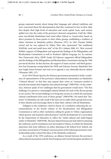groups expressed anxiety about losing their language and cultural traditions and were concerned about the discrimination that they continued to face in their daily lives despite their high levels of education and social capital. Soon, such anxiety spilled over into the realm of the province's electoral competition. Until the 1960s, most non-British Manitobans had voted either Liberal or Conservative based on direct promises by those parties to their ethnic groups, establishing a tradition of ethnic clientism in Manitoba politics (Peterson 1972). In 1967, Premier Roblin retired and he was replaced by Walter Weir who represented "the traditional WASPish, rural and small town side" of the PCs (Adams 2008, 41). Weir reversed Roblin's support of bilingualism and opposed the findings of the Bilingualism and Biculturalism Commission as well as Trudeau's *Official Language Act.* In contrast, New Democratic Party (NDP) leader Ed Schreyer supported official bilingualism and the findings of the Bilingualism and Biculturalism Commission during the 1969 provincial election. In that election, the support of many second- and third-generation East Europeans swung behind the NDP, and Schreyer became Manitoba's first non-Anglo Saxon Premier and went on to appoint a very ethnically diverse cabinet (Wiseman 1983, 127).

In its 1970 Throne Speech, the Schreyer government promised to hold a conference of representatives of the province's ethnocultural communities on Manitoba's "Cultural Mosaic" so that they may express their views on "measures needed to nourish and sustain their linguistic and cultural heritage" (MB1970a). At the conference, Schreyer spoke of two challenges that his government would meet: "The first challenge is to preserve a meaningful cultural identity for each of the diverse groups in our society. The second challenge is to bring into society as a whole the maximum cultural contribution from each of those groups" (MB1970b). He stated that "harmony" in Manitoba can only result if the state acts to make ethnic groups feel secure in their identity and encourages them to share their cultures with all Manitobans.

Delegates to the conference voted in favour of a resolution endorsing the recommendations of the fourth volume of the Biculturalism and Bilingualism Commission as well as other resolutions calling for grants to "ethnic organizations which sponsor and maintain cultural projects" and the development of a curriculum by the Department of Education to reflect the "multi-cultural and multi-lingual reality of Manitoba" (MB1970b). Because federal bureaucrats had aided in planning the conference and its resolutions were forwarded to Ottawa, it is likely the Manitoba experience had some influence on policy planning at the federal level. Indeed, one year later, several parts of Trudeau's announcement of the federal government's multiculturalism policy echoed the ideas of the Manitoba conference.

As a result of the 1970 conference, an alliance formed between the province's ethnocultural associations and the East European and Central European members of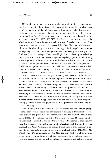the NDP cabinet to initiate a shift from Anglo-conformity to liberal multiculturalism. Schreyer appointed a ministerial advisory committee on multiculturalism made up of representatives of Manitoba's various ethnic groups to advise his government. On the advice of the committee, the government implemented several liberal multicultural policies. In 1972, the same year as the federal government began its grants to ethnic groups (Pal 1993, 189-215), the Schreyer government created the Multiculturalism Grants Program which provided financial support to ethnic groups for operations and special projects (MB1973a). Given its jurisdiction over education, the Manitoba government was more aggressive in its policies to promote heritage languages than the federal government. The NDP government provided funding to heritage languages NGOs, created high school credits for passing heritage language tests, and permitted the teaching of heritage languages as a subject as early as kindergarten with the approval of the local school board (MB1992a). In terms of the sharing of immigrant homeland culture with the general public, the government funded various public festivals (such as Folklorama) and created museums dedicated to preserving and sharing the history of Manitoba's ethnic minorities (MB1971a; MB1972a; MB1973a; MB1974a; MB1975a; MB1976a; MB1977a).

While the short-lived Lyon PC government (1977-1981) was uninterested in liberal multiculturalism, it did not instigate a policy shift. The government abolished the ministerial advisory committee on multiculturalism but it never went as far as to eliminate any of the multiculturalism programs that had been introduced. Instead, it merely reduced their funding (MB1988a). In the 1981 provincial election, the PCs were defeated by the NDP under the leadership of Howard Pawley. Reflecting the continuing alliance between Manitoba's ethnocultural associations and the NDP, the party had worked with activists from these associations to develop a multicultural platform during its time in opposition which helped attract the electoral support of Winnipeg's ethnocultural groups, and to elect the province's first Asian (Filipino) MLA (MB1989a).

The Pawley government worked closely with Manitoba's ethnocultural groups to renew the province's liberal multiculturalism. A primary instrument of co-operation between the government and ethnic groups was the Manitoba Intercultural Council (MIC) that was made up of two-thirds members elected by their respective ethnocultural communities and one-third appointed by cabinet. It met regularly with the Minister responsible for multiculturalism and the newly-created Ethnocultural Affairs Committee of Cabinet (which included the Premier) to discuss the government's policies in the area of multiculturalism (MB1985a; MB 1985b). The NDP government gave the MIC the important role of distributing money from provincial lotteries to ethnic organizations for operations, infrastructure, and special projects aimed at cultural preservation and cultural sharing.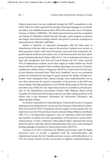Cultural preservation was also reinforced through the NDP's amendments to the *Public School Act* which expanded the teaching of heritage languages as an individual subject and established schools where 50% of the instruction was in Ukrainian, German, or Hebrew (MB1992a). The Pawley government pursued the recognition and sharing of Manitoba's cultural diversity through a grant program to preserve and display ethnocultural heritage artefacts and grants to promote contemporary ethnocultural art (MB1985c; MB1986a).

Similar to Manitoba, an important demographic shift had taken place in Saskatchewan in the late 1960s as many of the province's residents were second- or third-generation Eastern and Central Europeans concerned about losing their linguistic/cultural traditions and acutely aware of the discrimination that their ethnic group had historically faced (Waiser 2009, 68-71). Due to Saskatchewan's history of large scale immigration from East and Central Europe, the 1971 census reported 53% of Saskatchewan residents traced their origins to neither British nor French sources with the vast majority of these residents reporting to be German, Ukrainian, Scandinavian, Polish, Dutch, or Hungarian (SK1973a). As their levels of social capital and education increased, these "third force Canadians" rose to very prominent positions in Saskatchewan and began to openly question the validity of Anglo-conformity which endangered their cultural heritage. Soon multiculturalism was an issue that entered into the electoral competition of the province as the NDP won several ridings with high populations of non-British ethnic groups in both the rural and urban areas. While few non-Anglo-Saxons had ever ascended to powerful positions in the Saskatchewan government, Premier Allan Blakeney placed several Canadians of Central and East European descent into high-ranking positions in his cabinet such as Roy Romanow (Ukrainian), Ed Tchorzewski (Ukrainian), and Walter Smishek (Polish).

As minister responsible for multiculturalism, Tchorzewski became an eloquent spokesperson for Saskatchewan's Central and East European ethnocultural communities and aided the NDP in keeping the electoral support of these groups that was important in several of the province's closely contested ridings (Blakeney and Borins 1998, 14-21). His department organized a series of conferences where the Premier and members of cabinet met with representatives of the province's various ethnocultural groups. At these conferences, ethnocultural leaders expressed their strong desire for policies reflecting a liberal multiculturalism ethos such as the teaching of heritage languages and grants for cultural preservation (SK1973a).

Coming out of these conferences, the Blakeney government made the highly innovative move to provide a legislative basis for multiculturalism, and Saskatchewan became the first Canadian province to pass a multiculturalism act in 1974. In contrast, Ontario was the next province to legislate a multiculturalism act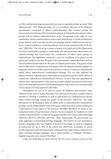in 1982, and the federal government did not pass its multiculturalism act until 1988. Saskatchewan's 1974 *Multiculturalism Act* is an excellent reflection of the Blakeney government's conception of liberal multiculturalism that revolved around the preservation and sharing of the homeland cultures of Saskatchewan's pioneer ethnic groups. The Act defines multiculturalism as the "recognition of the right of every community, whose common history spans many generations, to retain its distinctive group identity, and to develop its relevant language and its traditional arts and sciences, without political or social impediment and for the mutual benefit of all citizens" (SK1974a). The Act set up a system of grants to be paid out by the Department of Culture and Youth to groups or individuals who wanted to learn about their own cultural heritage and learn about the contribution of other ethnic groups to Saskatchewan. The legislation contained a series of conditions to be placed on the grants that made it clear that the goal of the government's multiculturalism policies was not cultural preservation for the sake of cultural preservation. The grants would only be allocated to organizations and projects that developed materials, displays, or programs which were either used in the province's schools or aimed at educating the public about Saskatchewan's multicultural heritage. The Act also reflected the alliance between Saskatchewan's ethnocultural associations and the NDP cabinet. It created the Saskatchewan Multicultural Advisory Council that was appointed by cabinet from representatives of the province's ethnocultural associations and tasked with reviewing applications for multicultural grants before they were recommended to the minister for final approval (SK1974b).

Throughout the rest of its time in power, the Blakeney government's main objective in the area of multiculturalism was cultural preservation coupled with an attempt to "develop a sensitivity to and an appreciation of, Saskatchewan's diverse ethno-cultural heritage among the people of the province" (SK1974c). The main instrument for developing a sense of public pride in Saskatchewan's multicultural heritage was the Multicultural Festival Program which provided annual funding for a folk festival in every region of the province (SK1980a, SK1982a). In terms of cultural preservation, the government created a bursary program for students to travel outside of Saskatchewan to study the language and fine arts of their cultural heritage (SK1976a, SK1977a, SK1978a, SK1979a). More importantly, the government was quite aggressive in promoting heritage languages. The School Act was amended to permit a language other than English or French to be taught or used as a language of instruction for up to 50% of the school day (SK1974d). A number of school boards negotiated with the Department of Education for high school credits for students learning heritage languages, and a small number of bilingual Ukrainian-English programs were created (SK1986a).

Under the leadership of Grant Devine, the PCs won a surprise victory in the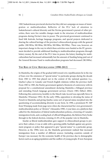1982 Saskatchewan provincial election but they did not campaign on issues of immigration or multiculturalism. Reflective of the PCs' lack of attention to Saskatchewan's cultural diversity and the Devine government's pursuit of other priorities, there were few notable changes made to the structure of multiculturalism programs during Devine's time in power. The provincial government continued to fund folk festivals, heritage language programs, and special projects dedicated to sharing the cultural heritage of the province's ethnocultural groups with the general public (SK1983a; SK1984a; SK1985a; SK1986a; SK1990a). There was, however, an important change in the way in which these activities were funded as the PC government decided to provide additional funding to multiculturalism programs through lottery money. By the end of the PCs' time in power, the lottery funding for multiculturalism had increased substantially but the amount of funding being paid out of the General Revenue Fund to multiculturalism programs had decreased (SK1989a).

#### **THE RISE OF CIVIC REPUBLICANISM (1990-2012)**

In Manitoba, the origins of the gradual shift toward civic republicanism lie in the rise of fears over the extension of "special status" to particular groups during the decade from 1983 to 1993 that played out in the context of the national question (i.e., Quebec's place in Canada) and French-English relations within the province itself. From 1983 to 1985, the Pawley government ignited a firestorm of controversy with its proposal for a constitutional amendment declaring Manitoba a bilingual province and extending French language government services (Doern 1985; Hébert 2004). Following this controversy, hostility to the Meech Lake Accord was especially fierce in Manitoba (Wiseman 1994). By the early 1990s, opposition to elevating the status of French in Manitoba and giving Quebec some sort of special status morphed into the questioning of accommodating diversity in any form. In 1990, a prominent PC MP from Winnipeg made front page news when she characterized her own government's multiculturalism policy as "divisive" (Alexandra 1990). A year later, on a platform that called for the elimination of federal multiculturalism policies, a lowering of Canada's immigration levels, and a scaling back of official bilingualism, the Reform Party broke through in the federal election, winning 22.4% of the popular vote in Manitoba.

Insofar as liberal multiculturalism gave support to ethnocultural groups to preserve their culture, it was at odds with a growing public backlash against any government program or policy that appeared to give "special status" to a particular group. However, as the 1990s wore on, the Manitoba government realized that increased immigration from a number of different sources (including countries outside of Europe) was necessary for the economic health of the province due to demographic factors such as an aging population and the outflow of young people. If non-European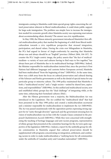immigrants coming to Manitoba could claim special group rights concerning the cultural preservation inherent in liberal multiculturalism, it could drain public support for large-scale immigration. The problem was simple: how to increase the immigration needed for economic growth when Manitoba society was expressing reservations about accommodating ethnic diversity? The answer was civic republicanism.

In May 1990, the Filmon minority government introduced Manitoba's first official multiculturalism policy that marked the beginning of a shift from liberal multiculturalism towards a civic republican perspective that stressed integration, participation, and shared values. During the crisis over bilingualism in Manitoba, the PCs had argued in favour of Anglo-conformity by asserting that Manitoba always was and always should be an "English" province (Hébert 2004, 104-107). To counter the PCs' Anglo-centric image, the policy asserts that "the fact of multiculturalism—a variety of races and cultures having to find ways to live together," has always been part of Manitoba due to its multicultural heritage (MB1990a). Indeed, the Minister responsible for multiculturalism insisted that, since the province's First Nations had different languages and customs before Europeans arrived, Manitoba had been multicultural "from the beginning of time" (MB1992e). At the same time, there was a shift away from the focus on cultural preservation and cultural sharing of the Schreyer and Pawley governments as well as the denial of special status for any particular group or minority culture. The 1990 policy maintained that Manitoba is both a "multicultural society" and a "single society—united by shared laws, aspirations, and responsibilities" (MB1990a). In this unified and multicultural society, new and established ethnic groups face the "dual challenge" of integrating while, at the same time, enhancing their homeland cultures (Ibid.).

After the Filmon government won a majority, the Multiculturalism Act was introduced in the Legislature. The Act codified the "multicultural ideal" that had been presented in the May 1990 policy and created a multiculturalism secretariat and a minister responsible for multiculturalism to implement the *Act* (MB1992b). The Act was passed unanimously with the opposition parties expressing strong support for its "unity through diversity" approach and the government stressing how its vision of multiculturalism was in line with the Canada Clause contained in the proposed Charlottetown Accord (MB1992c). While they were concerned with strengthening the teaching of heritage languages and anti-racism programs, representatives of ethnic groups that presented at the committee hearings for the *Act* were quite supportive of the legislation (MB1992e). Indeed, a report by the umbrella group for ethnic communities in Manitoba argued that cultural preservation should be supplemented with programs concentrating on integration, settlement, and combating racism in order to make multiculturalism a "unifying factor for all communities under the umbrella of Canadian unity and Canadian nationalism" (MB1992i).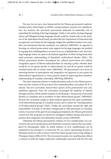The new Act set out a clear framework for the Filmon government's multiculturalism policy which began to exhibit a strong tendency towards civic republicanism. For instance, the provincial government abdicated its leadership role in expanding the teaching of heritage languages. Under a new policy, heritage language classes and bilingual heritage language schools could be created only on the initiative of the individual school board, provided that the Department of Education had an approved curriculum for the language, judged that qualified teachers were available, and determined that the enrolment was sufficient (MB1992f). As opposed to focusing on cultural preservation, state support for heritage languages was justified by arguing that multilingualism is an asset in an era of globalization, and, since heritage language classes are open to all students regardless of ethnic background, their study promotes understanding of Manitoba's multicultural identity (Ibid.). The Filmon government further downplayed the cultural preservation and cultural recognition aspects of liberal multiculturalism by enacting a policy whereby there would be no art grants specific to ethnocultural art, and all art grants would be awarded based only on artistic merit (MB1992d). The government's new focus on removing barriers to participation and integration was apparent in new grants for ethnocultural organizations to create projects aimed at improving their members' understanding of Canadian citizenship (MB1992g; MB1993a).

The most important advance in multiculturalism policy by the Filmon government was the creation of the province's first multiculturalism curriculum for K-12 schools. The new curriculum stressed three aspects of the government's new civic republican approach. First, the curriculum encouraged the duplicity of identity through activities which assisted students in developing a "strong sense of personal identity as Canadians and as members of their ethnocultural groups" (MB1992h). Second, the curriculum sought to make students appreciate the equal contribution of all ethnocultural groups to Canadian society, and to realize the "interdependence of all ethnocultural groups" (Ibid.). Finally, the curriculum stressed the right and responsibility of people of all ethnic backgrounds to fully participate in Canadian society. In pursuit of the goal of encouraging participation, the Filmon government created new ESL programs in schools for immigrant children during class hours to quicken their integration into Manitoba's broader society (MB1993b).

Ultimately, the Filmon government's embrace of civic republicanism was connected to electoral considerations and Manitoba's economic interest that was endangered by demographic shifts. Its initial embrace of civic republicanism can be explained by his attempts to re-brand the PCs as a party representing all parts of Manitoba society in order to attract votes from ethnic groups in key swing ridings in Winnipeg (Adams 2008, 46-54). The movement towards civic republicanism offered a contrast to both the Anglo-conformity traditionally associated with the PCs and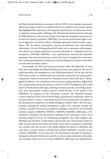the liberal multiculturalism associated with the NDP. As his mandate progressed, Filmon also began to find civic republicanism to be useful for his economic agenda that highlighted the importance of immigration from diverse non-European sources to respond to demographic challenges. The Manitoba government feared a shortage of skilled labourers as the province's share of immigration dropped in proportion to its share of Canada's population (MB1994a). As such, the government began a variety of aggressive recruitment efforts, including signing provincial nominee agreements with the federal government, overseas promotional tours, international advertising, a 24-hour Winnipeg-based call center, and co-operation with immigration officers in Canadian embassies to promote Manitoba as a destination for new immigrants (MB1998b; MB1999a). Civic republicanism reassured the Manitoba population that the provincial state would work hard to integrate the newcomers from increased immigration as opposed to just providing them resources with which to retain their homeland culture.

Interestingly, the NDP provincial government under the leadership of Gary Doer and Greg Selinger has followed almost exactly the same policies in the areas of multiculturalism and immigration as the Filmon government. By the time that the NDP came to power in 1999, the province's business community was arguing that a widespread consensus had formed in Manitoba society which held that a "demographic meltdown" was coming due to the province's aging population, falling birth rate, young people leaving the province, and low levels of immigration that would result in chronic labour shortages, declining economic growth, a dwindling population, lower government revenues, and an overall decrease in the quality of life (MB2001a). In response to this "doomsday scenario," the Manitoba Business Council, made up of the CEOs of the 60 largest corporations in Manitoba, called on the government to create a "community-based, all sectors approach" to compete in the international competition for skilled immigrant workers (Ibid.). The Doer government responded by making immigration a pillar of its economic strategy and creating a number of overseas recruitment campaigns centered on the provincial nominee program (MB2005a; MB2007a; MB2007b; MB2008a). Reflecting a civic republican orientation, the government redesigned the assessment criteria of its nominee program to focus on nominating immigrants who easily integrate into Manitoba and, therefore, would reside in the province for a long period of time. In 2008, the government noted that the profile of the typical immigrant to Manitoba was a person who has secured a job, speaks English, has family in Manitoba, and came from a country whose ex-patriots have already established a presence in the province (MB2008b). At the same time, the government expanded its funding to immigrant settlement NGOs and created its own four-week orientation to Manitoba and Canadian culture for new arrivals (MB2004a). Reflecting civic republicanism,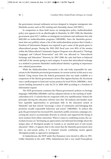the government stressed settlement services designed to integrate immigrants into Manitoba society, such as ESL training and citizenship classes (MC2007c).

In comparison to these bold moves on immigration policy, multiculturalism policy now appears to be an afterthought in Manitoba. In 2007-2008, the Manitoba government spent \$23.7 million on immigrant recruitment and settlement but only \$682,000 on multiculturalism programs (MB2008b). Since the Manitoba government does not publicly release a list of the multiculturalism projects that it funds, a Freedom of Information Request was required to get a sense of the grants given to ethnocultural groups. During the 2002-2003 fiscal year, over 80% of the monies within the Ethnocultural Community Support Program were allocated to "Heritage Languages and Cultural Preservation" and 20% was allocated to "Intercultural Exchange and Education." However, by 2007-2008, the ratio had been re-balanced with half of the monies going to each category. It seems that intercultural exchange as a method to promote Manitoba's multicultural identity is gaining in importance over cultural preservation.

While the Multiculturalism Secretariat is the sole body responsible for antiracism in the Manitoba provincial government, its current activity in this area is very limited. Using money from the federal government that was made available as a component of the Martin government's Action Plan Against Racism, the Secretariat runs a small program to fund anti-racism projects by local NGOs (MB2008c). Antiracism funding amounted to only \$4,732 in 2008-2009 according to a Freedom of Information request.

The NDP government continues the Filmon government's policies on heritage languages (MB2008d; MB2008e) and has adopted reforms to the teaching of multiculturalism in K-12 schools that are congruent with civic republicanism. Indeed, the principles driving the education reforms were that "all students and families must have equitable opportunities to participate fully in the education system in Manitoba" and that schools "encourage a sense of community and belonging that promotes socially responsible behaviour and action" (MB2006b). To achieve this goal, the government has increased ESL, launched a public awareness campaign concerning the need to accommodate diversity in schools, and supported the hiring of more teachers from ethnic minorities. When it comes to combating racism, the curriculum focuses on "developing an appreciation and informed knowledge about the unique place of Aboriginal peoples in Canada as an essential part of anti-racism education" (Ibid.). It appears that to the extent that the Manitoba government does have an anti-racism policy, it is oriented towards combating racism against Aboriginal peoples as opposed to immigrants.

In Saskatchewan, the NDP under Roy Romanow were elected to office in 1991. Unlike Manitoba in the early 1990s, Saskatchewan had a very small Francophone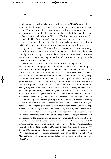population and a small population of new immigrants (SK2008a) so the debates around multiculturalism and national unity were not taken up with the same vigour (Leeson 1990). As the province's economy grew, the Romanow government decided to concentrate on expanding skills training to fill the needs of the expanding labour market as opposed to immigration (SK1995a). The Romanow government was further aided in filling Saskatchewan's labour market needs because baby boomers had not yet begun to retire and negative interprovincial migration was slowing (SK2009a). As such, the Romanow government was uninterested in attracting and settling immigrants since it felt that Saskatchewan's economic prosperity could go on unabated with minimal international immigration. Indeed, the only notable move by the Romanow government in the area of immigration was the creation of a small provincial nominee program that had only attracted 48 immigrants by the time that Romanow left office (SK2001a).

As opposed to national unity, multiculturalism, or immigration, it is clear that deficit elimination through spending cuts and tax increases was the overriding priority during the Romanow years (Marchildon 2004). In this context of fiscal restraint, the low number of immigrants in Saskatchewan meant a small lobby to advocate for increased spending on immigrant settlement or public funding to support ethnocultural communities. The task of lobbying for multiculturalism programs generally fell to third- and fourth-generation immigrants from Eastern and Central Europe. However, Saskatchewan's third- and fourth-generation immigrants were getting further removed from the ethnic heritage of their grandparents and great-grandparents through intermarriage and the slow processes of assimilation, especially in terms of language. The 2001 census shows a decrease in the number of people who spoke heritage languages in Saskatchewan as well as a large increase in the number of people reporting multiple ethnic origins and people identifying themselves as simply "Canadian" (Statistics Canada 2003). At the same time, the percentage of Aboriginal peoples in Saskatchewan increased from 9.7% of the population to 13.5% during the 1990s (Anderson 2005), crowding out concerns about ethnic diversity related to new immigrants or pioneer ethnocultural communities. Due to the Romanow government's ambivalence and the federal government's lack of attention to the geographical distribution of immigrants during most of the 1990s, 20,013 immigrants came to Saskatchewan from 1991 to 2001 and only 57% of those immigrants stayed in Saskatchewan (compared to 41,640 immigrants in Manitoba with a retention rate of 78% over the same time period) (Elliott 2003, 49). By 2001, immigrants (defined as residents not born in Canada) made up only 5% of Saskatchewan's population compared with 12% in Manitoba and 15% in Alberta. Most of Saskatchewan immigrants had been in the province for many years (Ibid. 50).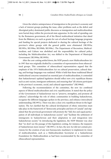Given the relative unimportance of immigration to the province's economy and a lack of interest groups pushing the issue, other problems such as the deficit and Aboriginal policy dominated public discourse as immigration and multiculturalism were buried deep within the provincial state apparatus. In the rash of spending cuts by the Romanow government, all of the liberal multicultural initiatives that dated from the Blakeney era such as grants for out-of-school heritage language programs and funding for special projects dedicated to sharing the cultural heritage of the province's ethnic groups with the general public were eliminated (SK1993a; SK1995c; SK1996a; SK1996b; SK1996c). The Department of Recreation, Multiculturalism, and Culture was abolished and the responsibility for cultural policy, including the Multiculturalism Act, was shifted to the Department of Municipal Government (SK1994a; SK1995b).

After the cost-cutting settled down, the NDP passed a new Multiculturalism Act in 1997 that was originally drafted by a committee of representatives from ethnocultural groups. This committee of ethnocultural representatives argued that the emphasis of the 1974 Multiculturalism Act on cultural preservation, cultural sharing, and heritage languages was outdated. While it held that these traditional liberal multicultural concerns remained an essential part of multiculturalism, it contended that Saskatchewan's updated legislation should reflect new civic republican themes such as anti-racism, immigrant settlement, and ensuring that "all citizens participate in the province's economic, social, and cultural opportunities" (SK1996d).

Following the recommendation of the committee, the new Act combined aspects of liberal multiculturalism and civic republicanism. It stated that the policy of the Government of Saskatchewan was to "preserve, strengthen, and promote all cultures," acknowledge the role of ethnic communities in building Saskatchewan, recognize the different languages spoken in the province, and enhance intercultural understanding (SK1997a). There was also a clear civic republican thrust in the legalisation. The Act clarified that the cultural development of ethnic minorities must take place in the framework of "democratic principles and laws of Canada" and stipulated that the provincial government will promote the "full, free and equal participation of all individuals in Saskatchewan society" and "facilitate the settlement of immigrants in Saskatchewan and their adaptation to and integration into Saskatchewan society." In introducing the legislation, the NDP Minister was clear that "we don't see the passage of this legislation costing, for instance, the taxpayers of Saskatchewan more money" (SK1997c). In fact, the new Act did not contain provisions for the creation of any new bureaucratic machinery to implement its vision of multiculturalism, such as a Multiculturalism Secretariat or a Saskatchewan Foundation for Multiculturalism as had been recommended by the committee of ethnocultural representatives.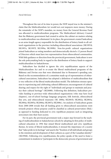Throughout the rest of its time in power, the NDP stayed true to the minister's claim that the Multiculturalism Act would not cost taxpayers more money. During the remainder of the NDP's mandate, no money from the General Revenue Fund was allocated to multiculturalism programs. The Multicultural Advisory Council that the Blakeney government had created to advise the cabinet on matters relating to multiculturalism was eliminated. In its place, the government created Saskculture as an arms-length agency responsible for the distribution of lottery funds to all cultural organizations in the province including ethnocultural associations (SK1997d; SK1997e; SK1997f; SK1999a; SK1999b). Non-for-profit cultural organizations joined Saskculture as voting members and democratically elected a 12 person Board of Directors which must have two representatives from ethnocultural communities. With little guidance or direction from the provincial government, Saskculture is now the sole policymaking body in regard to the distribution of lottery funds to support multiculturalism in Saskatchewan.

Saskculture has decided to ignore the civic republicanism aspects of the Multiculturalism Act and to re-create the liberal multicultural programs of the Blakeney and Devine eras that were eliminated due to Romanow's spending cuts. Based on the recommendation of a committee made up of representatives of ethnocultural associations, Saskculture has adopted a definition of multiculturalism that is very reflective of the liberal multiculturalism model. The definition stresses openness to experiencing and celebrating cultural differences; encouragement of cultural sharing; and respect for the right of "individuals and groups to maintain and practice their cultural heritage" (SK2008b). Following this definition, Saskculture provides funding to province-wide ethnocultural organizations (who may have local chapters), out-of-school heritage language programs, folk festivals, ethnocultural fine arts, and ethnocultural museums (SK 2000a; SK2001b; SK2002a; SK2003a; SK2004a; SK2005a; SK2006a; SK2007a; SK2008c). An analysis of Saskculture grants from 2000-2008 reveals that all funding given to ethnocultural associations went towards projects whose purpose could be classified as cultural preservation (Ibid.) as opposed to funding dedicated to civic republican purposes such as integrating newcomers into their host society.

For its part, the provincial government took a major step forward in the teaching of multiculturalism in Saskatchewan schools by adopting its first policy of multicultural education in 1994 that mixed liberal multicultural and civic republican themes. In terms of liberal multiculturalism, it stressed the importance of a society that "takes pride in its heritage" and asserts the "freedom of all individuals and groups to the retention and development of their cultures as a part of the Canadian identity" (SK1994b). Following civic republicanism, the policy speaks of the need to foster a commitment in students to "participate in the democratic process of government and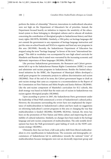perform the duties of citizenship." However, innovations in multicultural education were not high on the Department of Education's list of priorities. Instead, the Department focused heavily on initiatives to improve the sensitivity of the educational system to those belonging to Aboriginal cultures and to educate all students concerning the contribution of Aboriginal peoples to Saskatchewan history and their treaty rights (SK1997b; SK2000b). Similarly, a 1994 policy on heritage languages did not commit the government to any expansion of heritage language instruction and put the onus on school boards and NGOs to organize and fund any new programs in this area (SK1994b). Recently, the Saskatchewan Department of Education has stopped using the term "heritage language" in favour of the term "international language." This shift in vocabulary was accompanied by new high school curricula for Mandarin and Russian that it stated were warranted by the increasing economic and diplomatic importance of these languages (SK2000c; SK2001c).

Like previous Saskatchewan governments, the Romanow and Calvert governments left it up to the Saskatchewan Human Rights Commission (SHRC) to create and administer anti-racism programs in Saskatchewan. Besides the limited educational initiatives by the SHRC, the Department of Municipal Affairs developed a small grant program for community projects to address discrimination and racism (SK2000d). Near of the end of its term, the Calvert government began to draft an anti-racism strategy that came as a response to a recommendation in the Report of the Commission on First Nations and Métis Peoples and Justice Reform (SK2004b). Like the anti-racism component of Manitoba's curriculum for K12 schools, this draft strategy was based on belief that the main axis of racism in Saskatchewan was racism against Aboriginal peoples (SK2008d).

Upon ascending to power in 2007, the Saskatchewan Party government under the leadership of Brad Wall commenced a review of Saskatchewan's cultural policy. However, the documents surrounding the review have not emphasized the importance of multiculturalism to Saskatchewan's culture and have made no suggestions on reforming Saskculture's current programs in this area or changing the way that multiculturalism is funded (SK2008e; SK2009b; SK2010a). Instead, the stress has been on the promotion of First Nation and Métis culture and improving the profitability of cultural industries. Similarly, no changes have been made in the heritage language and anti-racism components of multiculturalism. The only notable development has been the Wall government's quiet halting of work on the NDP's antiracism strategy (SK2009c).

Ultimately, there has not been a full-scale policy shift from liberal multiculturalism to civic republicanism in Saskatchewan. The economic and demographic circumstances of Saskatchewan led to ambivalence towards the national "crisis" of multiculturalism because immigrants were not an electorally important group and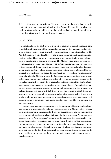deficit cutting was the top priority. The result has been a lack of coherence in its multiculturalism policy, as its Multiculturalism Act and K-12 multiculturalism curriculum reflect a civic republicanism ethos while Saskculture continues with programming reflecting a liberal multiculturalism ethos.

#### **CONCLUSION**

It is tempting to see the shift towards civic republicanism as part of a broader trend towards the retrenchment of the welfare state similar to what has happened in other areas of social policy or as an element of the dominance of neo-liberal ideology like Abu-Laban and Gabriel (2002) have found in their examination of federal multiculturalism policy. However, civic republicanism is not so much about the cutting of costs as the shifting of spending priorities. The Manitoba provincial government is spending relatively large sums of money on settling immigrants in a way that leads to the adoption of shared identity and shared values, and has reallocated its spending on grants to ethnocultural groups away from cultural preservation and towards intercultural exchange in order to construct an overarching "multicultural" Manitoba identity. Certainly, both the Saskatchewan and Manitoba governments justify their immigration policies on exclusively economic grounds similar to the federal government. However, the civic republican thrust within their multiculturalism policies is not necessarily connected to neo-liberal ideals of "individual self-sufficiency…competitiveness, efficiency, choice, and consumerism" (Abu-Laban and Gabriel 2002, 21). To the extent that it encourages newcomers to adopt shared values and identities, civic republicanism is actually quite unconcerned with neo-liberal ideals of choice and individualism. Civic republicanism is more concerned with building bonds of community and nation-building as opposed to consumerism and competitiveness.

Despite the overarching similarities with the evolution of federal multiculturalism policy, it is interesting to note how Saskatchewan and Manitoba have shaped their multiculturalism in reaction to their own circumstances and the variations in the evolution of multiculturalism between the two provinces. As immigration becomes a more "provincialized" policy area, the decisions that provincial governments make on how to manage the growing ethnic diversity in their jurisdictions will have important effects on newcomers to Canada. Civic republicanism, with its emphasis on integration, participation, and shared values, may become an increasingly popular model for these provincial governments, and more research at the provincial level in Canada may have to be done to understand such an important transformation.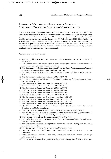#### **APPENDIX A: MANITOBA AND SASKATCHEWAN PROVINCIAL GOVERNMENT DOCUMENTS RELATING TO MULTICULTURALISM**

Due to the large number of government documents analyzed, it is quite inconvenient to use the abbreviated in-text citation system. In the above text and this appendix, Manitoba and Saskatchewan provincial government documents are cited using the identifier they were assigned during the research process. The identifier consists of a two letter code for the province (SK= Saskatchewan and MB= Manitoba) followed by the document's year of publication and a lower case letter to distinguish the document from other documents that the provincial government published in the same year. The documents are listed chronologically below. While over 250 documents were consulted during researching this article, only those specifically cited in the text are included in this appendix.

*Saskatchewan Government Documents*

- SK1968a: Honourable Ross Thatcher, Premier of Saskatchewan, *Constitutional Conference Proceedings,* February 5-7.
- SK1973a: Government of Saskatchewan. *Report on the Proceedings of the Seminar '73: Multiculturalism in Saskatchewan….an opportunity for action, a challenge.*
- SK1974a: Government of Saskatchewan, *An Act Establishing the Saskatchewan Multicultural Advisory Council and the providing for Assistance to Individuals and Groups.*
- SK1974b: Paul Mostoway, NDP MLA, *Proceedings of the Saskatchewan Legislative Assembly,* April 25th, 1974.
- SK1974c: Department of Culture and Youth, *Annual Report 1973-74.*
- SK1974d: Gordon MacMurchy, Minister of Education, *Proceedings of the Saskatchewan Legislative Assembly,* February 27th.
- SK1976a: Department of Culture and Youth, *Annual Report 1975-76*.
- SK1977a: Department of Culture and Youth, *Annual Report 1976-77.*
- SK1978a: Department of Culture and Youth, *Annual Report 1977-78.*
- SK1979a: Department of Culture and Youth, *Annual Report 1978-79*.
- SK1980a: Department of Culture and Youth, *Annual Report 1979-80.*
- SK1982a: Department of Culture and Youth, *Annual Report 1981-82*.
- SK1983a: Department of Culture and Recreation, *Annual Report 1982-1983.*
- SK1984a: Department of Culture and Recreation, *Annual Report 1983-1984*.
- SK1985a: Department of Culture and Recreation, *Annual Report 1983-1985*.
- SK1986a: Department of Culture and Recreation, *Annual Report 1983-1986.*
- SK1989a: Taskforce on Multiculturalism, *Multiculturalism in Saskatchewan: Report to Minister's Committee on Multiculturalism,* Regina.
- SK1990a: Department of Culture, Multiculturalism, and Recreation, *Annual Report 1989-1990.*
- SK1993a: Ad Hoc Cultural Restructuring Committee, *Cultural Renaissance: Building a Community, Ad Hoc Cultural Restructuring Committee Final Report,* October.
- SK1994a: Saskatchewan Municipal Government, *Annual Report 1993-1994.*
- SK1994b: Saskatchewan Education, Training and Employment, *Multicultural Education and Heritage Language Education Policies.*
- SK1995a: Saskatchewan Education, Training and Employment, New Release: "Training Programs Leading to Jobs", November 14th.
- SK1995b: Saskatchewan Municipal Government, *Annual Report 1994-1995.*
- SK1996a: Saskatchewan Municipal Government, Culture and Recreation Division, *Strategy for Achievement.*
- SK1996b: Saskatchewan Municipal Government, Culture and Recreation Division, *Strategy for Achievement Update.*
- SK1996c: Interim Heritage Council, *Perspectives on Heritage, Interim Heritage Council Discussion Paper,* June.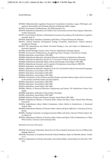- SK1996d: Multiculturalism Legislation Framework Consultation Committee, *August 1996 Report,* submitted to Honourable Carol Teichrob, Minister of Municipal Affairs, August.
- SK1997a: Government of Saskatchewan, *The Multiculturalism Act.*
- SK1997b: Saskatchewan Education, *Our Children, Our Communities, and Our Future: Equity in Education, A Policy Framework.*
- SK1997c: Carol Teichrob, Minister of Municipal Government, *Proceedings of the Saskatchewan Legislative Assembly,* April 23.
- SK1997d: SaskCulture Transition Committee, *SaskCulture: A Proposed Framework,* February.
- SK1997e: Cultural Industries Development Strategy Committee, *Saskatchewan Cultural Industries Development Strategy.*
- SK1997f: The Saskatchewan Arts Board, *Provincial Funding to Arts and Culture in Saskatchewan: A Systematic Approach.*
- SK1999a: Interim Heritage Council, *A New Vision for Saskatchewan's Heritage,* January.
- SK1999b: Government of Saskatchewan, *Strengthening Culture Through a Commitment to People.*
- SK2000a: Saskculture, *Annual Report 1999-2000.*
- SK2000b: Saskatchewan Education, *Aboriginal Education Initiatives in Saskatchewan Education.*
- SK2000c: Saskatchewan Education, *Russian 10: A Curriculum Guide for International Languages.*
- SK2000d: Saskatchewan Municipal Affairs, Culture and Housing, *Annual Report 1999-2000.*
- SK2001a: Saskatchewan Economic and Co-operative Development, *Annual Report, 2000-2001.*
- SK2001b: Saskculture, *Annual Report 2000-2001.*
- SK2001c: Saskatchewan Education, *Mandarin 10, 20, 30: A Curriculum Guide for International Languages.*
- SK2002a: Saskculture, *Annual Report 2001-2002.*
- SK2003a: Saskculture, *Annual Report 2002-2003.*
- SK2004a: Saskculture, *Annual Report 2003-2004.*
- SK2004b: Commission on First Nations and Métis Peoples and Justice Reform, *Report of the Commission on First Nations and Métis Peoples and Justice Reform.*
- SK2005a: Saskculture, *Annual Report 2004-2005.*
- SK2006a: Saskculture, *Annual Report 2005-2006.*
- SK2007a: Saskculture, *Annual Report 2007-2008.*
- SK2008a: Ministry of Advanced Education, Employment, and Labour, *The Saskatchewan Labour Force Supply.*
- SK2008b: Saskculture, *SaskCulture Cultural Policy,* November.
- SK2008c: Saskculture, *Annual Report 2007-2008.*
- SK2008d: Ministry of Justice and Attorney General, *Annual Report 2007-2008.*
- SK2008e: Saskatchewan Ministry of Tourism, Parks, Culture and Sport, *Draft Cultural Policy Planning Framework.*
- SK2009a: Saskatchewan Labour Market Commission. *Labour Market in Saskatchewan: A Situational Analysis,* May.
- SK2009b: Saskatchewan Ministry of Tourism, Parks, Culture and Sport, *Reflections: A Summary of Survey Results.*
- SK2009c: Standing Committee on Intergovernmental Affairs and Justice, *Hansard Verbatim Report, No. 15,* March 30.
- SK2010a: Saskatchewan Ministry of Tourism, Parks, Culture and Sport, *Pride of Saskatchewan: A Policy Where Culture, Commerce and Community Meet.*

*Manitoba Government Documents*

- MB1970a: Government of Manitoba. *Speech from the Throne,* Read by Lieutenant-Governor William John McKeag, March 12.
- MB1970b: Secretariat on Dominion-Provincial-Cultural Relations. *Report of Manitoba Mosaic, October 13-17.*
- MB1971a: Department of Tourism, Recreation, and Cultural Affairs, *Annual Report for Fiscal Year 1970- 1971.*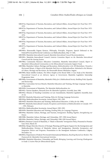- MB1972a: Department of Tourism, Recreation, and Cultural Affairs, *Annual Report for Fiscal Year 1971- 1972.*
- MB1973a: Department of Tourism, Recreation, and Cultural Affairs, *Annual Report for Fiscal Year 1972- 1973.*
- MB1974a: Department of Tourism, Recreation, and Cultural Affairs, *Annual Report for Fiscal Year 1973- 1974.*
- MB1975a: Department of Tourism, Recreation, and Cultural Affairs, *Annual Report for Fiscal Year 1974- 1975.*
- MB1976a: Department of Tourism, Recreation, and Cultural Affairs, *Annual Report for Fiscal Year 1975- 1976.*
- MB1977a: Department of Tourism, Recreation, and Cultural Affairs, *Annual Report for Fiscal Year 1976- 1977.*
- MB1985a: Honourable Eugene Kostyra, *Philosophy, Principles, Programs,* Speech Delivered to the Federal/Provincial/Territorial Conference on Multiculturalism, May 13-14th.
- MB1985b: Manitoba Intercultural Council, *Manitoba Intercultural Council Recommendations.*
- MB1985c: Manitoba Intercultural Council, *Lotteries Committee Report on the Manitoba Intercultural Council and the Gaming System.*
- MB1986a: Community Resource Allocation Committee, Manitoba Intercultural Council, *Report to Manitoba's Ethnocultural Communities on the Ethnocultural Community Support Fund.*
- MB1988a: Manitoba Culture, Heritage and Recreation, *Multiculturalism is for All Manitobans: Towards a Horizontal Mosaic, A Report of the Manitoba Task Force on Multiculturalism, Submitted to the Minister of Culture, Heritage and Recreation, the Honourable Bonnie Mitchelson*, August.
- MB1989a: Beate Schiffer-Graham, *The Ethnic Knights of the Round Table: A Case Study of the Manitoba Intercultural Council as an Advisory Agency to Government,* Manitoba Legislative Internship Programme, June.
- MB1990a: Government of Manitoba, *Manitoba's Policy for A Multicultural Society: Building Pride, Equality and Partnership.*
- MB1992a: Curriculum Services Branch, Manitoba Education and Training, *Heritage Language Programs in Manitoba.*
- MB1992b: Government of Manitoba, *The Manitoba Multiculturalism Act.*
- MB1992c: Various Speakers, *Hansards from the Manitoba Legislative Assembly,* June 10th.
- MB1992e: Minutes of Standing Committee on Law Amendments, Manitoba Legislative Assembly, June 23-24.
- MB1992f: Manitoba Education and Training, *Policy for Heritage Language Instruction.*
- MB1992g: Multiculturalism Secretariat, *Annual Report 1991-1992.*
- MB1992h: Manitoba Education and Training, *Multicultural Education: A Policy for the 1990s.*
- MB1992i: Manitoba Intercultural Council, *Perceptions and Evolution of Multiculturalism in Canada: 1971 – 1991,* February.
- MB1993a: Multiculturalism Secretariat, *Annual Report 1992-1993.*
- MB1993b: Manitoba Education and Training, *Funding Policy for Language Programs.*
- MB1994a: Manitoba Culture, Heritage, and Tourism, *Immigration: Building Together, Strengthening our Future.*
- MB1998b: Manitoba Culture, Heritage, and Citizenship, *1997-1998 Annual Report.*
- MB1999a: Manitoba Culture, Heritage, and Citizenship *1998-1999 Annual Report.*
- MB2001a: Business Council of Manitoba, *A "Made in Manitoba" Immigration Policy,* Presented to Premier Gary Doer, March 20.
- MB2004a: Margot Morrish, Director of Strategic Planning and Program Support for the Immigration and Multiculturalism Division of Manitoba Labour and Immigration, *Manitoba Immigration and Integration Policies and Programs,* Presentation to the Immigrant Inclusion Conference, Calgary, November 1st.
- MB2005a: Department of Federal-Provincial & International Relations, *Reaching Beyond our Borders: The Framework for Manitoba's International Activities.*
- MB2006b: Manitoba Education, Citizenship, and Youth, *Belonging, Learning, and Growing: Kindergarten to Grade 12 Action Plan for Ethnocultural Equity.*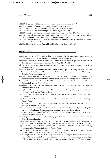- MB2007a: Department of Finance, *Manitoba's Action Strategy for Economic Growth.*
- MB2007b: Manitoba Labour and Immigration, *Annual Report 2006-2007.*
- MB2007c: Manitoba Labour and Immigration, *Manitoba Settlement Strategy.*
- MB2008a: Manitoba Labour and Immigration, *Annual Report 2007-2008.*
- MB2008b: Manitoba Labour and Immigration, *Manitoba Immigration Facts: 2007 Statistical Report.*
- MB2008c: Personal correspondence with Vivian Salangsang, Multiculturalism Secretariat, Manitoba Labour and Immigration, Government of Manitoba, February 15.
- MB2008d: Manitoba Education, Citizenship and Youth, *A Statistical Profile of Education in Manitoba September 2002 to June 2007.*
- MB2008e: Manitoba Education, Citizenship and Youth, *Annual Report 2007-2008.*

#### **WORKS CITED**

- Abu-Laban, Yasmeen, and Christina Gabriel. 2002. *Selling Diversity: Immigration, Multiculturalism, Employment Equity and Globalization.* Peterborough: Broadview Press.
- Abu-Laban, Yasmeen, and Daiva Stasiulis. 1992. Ethnic Pluralism under Siege: Popular and Partisan Opposition to Multiculturalism. *Canadian Public Policy* 18.4: 365-386.
- Adams, Christopher. 2008. *Politics in Manitoba: Parties, Leaders, and Voters.* Winnipeg: University of Manitoba Press.
- Alexandra, Paul. 1990. Multiculturalism Policy Divisive, Dobbie Says. *The Winnipeg Free Press,* Oct. 7, A1.
- Anderson, Alan. 2005. Aboriginal Population Trends. In *Encyclopaedia of Saskatchewan,* 10-11. Regina: Canadian Plains Research Centre.
- Biles, John, Meyer Burstein, James Frideres, Erin Tolley, and Robert Vineberg. 2011. *Integration and Inclusion of Newcomers and Minorities across Canada.* Montreal: McGill-Queen's University Press.
- Blakeney, Allan, and Sanford Borins. 1998. *Political Management in Canada: Conversations in Statecraft.* Toronto: University of Toronto Press.
- Bruno-Jofre, Rose. 1998-1999. Citizenship and Schooling in Manitoba, 1918-1945. *Manitoba History* 36 (Autumn/Winter): 26-36.
- Caccia, Ivana. 2010. *Managing the Canadian Mosaic in Wartime: Shaping Citizenship Policy, 1939-1945.* Montreal: McGill-Queen's University Press.
- Coates, Ken, and Fred McGuiness. 1987. *Manitoba: The Province and its People*. Edmonton: Hurtig Publishers.
- Day, Richard. 2000. *Multiculturalism and the History of Canadian Diversity.* Toronto: University of Toronto Press.
- Doern, Russell. 1985. *The Battle over Bilingualism: The Manitoba Language Question, 1983-1985.* Winnipeg: Cambridge Publishers.
- Elliott, Doug. 2003. *Demographic Trends in Saskatchewan: A Statistical Analysis of Population, Migration, and Immigration.* Regina: Saskatchewan Intergovernmental and Aboriginal Affairs.
- Fleras, Augie. 2009. *The Politics of Multiculturalism: Multicultural Governance in Comparative Perspective.* New York: Palgrave MacMillan.
- Fleras, Augie, and Jean Leonard Elliott. 2002. *Engaging Diversity: Multiculturalism in Canada.* Toronto: Nelson Thomson Learning.
- Forbes, Hugh Donald. 2007. Trudeau as the First Theorist of Canadian Multiculturalism. In *Multiculturalism and the Canadian Constitution,* ed. Stephen Tierney, 10-11. Vancouver: UBC Press.
- Gagnon, Alain-G., and Raffeaele Iacovino. 2007. *Federalism, Citizenship and Quebec: Debating Multinationalism.* Toronto: University of Toronto Press.
- Garcea, Joseph. 2006. Provincial Multiculturalism Policies in Canada, 1974-2004: A Content Analysis. *Canadian Ethnic Studies/Études Ethnique au Canada* 38.3: 1-20.
- Garcea, Joseph, and Neil Hibbert. 2011. Policy Frameworks for Managing Diversity in Society: Taking Stock for Taking Action. In *Integration and Inclusion of Newcomers and Minorities across Canada,* ed. J. Biles, M. Burstein, J. Frideres, E.Tolley, and R. Vineberg. Montreal: McGill-Queen's University Press.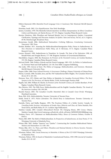Hébert, Raymond. 2004. *Manitoba French Language Crisis: A Cautionary Tale.* Montreal: McGill-Queen's Press.

Honohan, Iseult. 2002. *Civic Republicanism.* New York: Routledge.

- Jaenen, Cornelius. 1978. The Manitoba Schools Question: An Ethnic Interpretation. In *Ethnic Canadians: Culture and Education,* ed. Martin Kovacs, 317-331. Regina: Canadian Plains Research Center.
- Karmis, Dimitrios. 2004. Pluralism and National Identity (ies) in Contemporary Quebec: Conceptual Clarification, Typology and Discourse Analysis. In *Quebec: State and Society*, 3rd ed., ed. A. Gagnon, 69-96. Peterborough: Broadview Press.
- Kernerman, Gerald. 2006. *Multicultural Nationalism: Civilizing Difference, Constituting Community.* Vancouver: UBC Press.
- Kordan, Bohdan. 2011. Assessing the Multiculturalism/Immigration Policy Nexus in Saskatchewan. In *New Directions in Saskatchewan Public Policy,* ed. D. McGrane, 53-72. Regina: Canadian Plains Research Centre.
- Leeson, Howard. 1990. Saskatchewan in Transition. In *Canada: The State of the Federation 1990,* ed. Ronald Watts and Douglas Brown, 177-198. Kingston: Institute of Governmental Relations.
- Marchildon, Gregory. 2004. Roy Romanow. In *Premiers of the Twentieth Century,* ed. Gordon Barnhart, 353-394. Regina: Canadian Plains Research Centre.
- McLeod, Keith. 1968. Politics, Schools and the French Language, 1881-1931. In *Politics in Saskatchewan,* ed. Norman Ward and Duff Spafford, 124-150. Don Mills: Longman Publishing.
- Pal, Leslie. 1993. *Interest of State: The Politics of Language, Multiculturalism, and Feminism.* Montreal: McGill-Queen's University Press.
- Paquet, Gilles. 2008. *Deep Cultural Diversity: A Governance Challenge.* Ottawa: University of Ottawa Press.
- Patrias, Carmela. 2006. Socialist, Jews, and the 1947 Saskatchewan Bill of Rights. *The Canadian Historical Review* 87.2: 265-292.
- Peterson, Tom. 1972. Ethnic and Class Politics in Manitoba. In *Canadian Provincial Politics: The Party Systems in the Ten Provinces,* ed. Martin Robin, 70-89. Scarborough: Prentice-Hall.
- Regehr, Ted. 2004. William M. Martin. In *Premiers of the Twentieth Century,* ed. Gordon Barnhart, 39-68. Regina: Canadian Plains Research Centre.
- Roy, Patricia. 1995. The Fifth Force: Multiculturalism and the English Canadian Identity. *The Annals of the American Academy* 538: 199-209.
- Russell, Frances. 2003. *The Canadian Crucible: Manitoba's Role in Canada's Great Divide.* Winnipeg: Heartland Associates.
- Ryan, Phil. 2010. *Multicultiphobia*. Toronto: University of Toronto Press.
- Smith, David E. 1975. *Prairie Liberalism: The Liberal Party in Saskatchewan.* Toronto: University of Toronto Press.
- Stasiulis, Daiva, and Radha Jhappan. 1995. The Fractious Politics of a Settler Society: Canada. In *Unsettling Settler Societies: Articulations of Gender, Race, Ethnicity and Class,* ed. Daiva Stasiulis, Nira Yuval-Davis, and Ruth Helm, 95-131. London: Sage Publications.
- Statistics Canada. 2003. *Canada's Ethnocultural Portrait: The Changing Mosaic, 2001 Census.* Ottawa: Statistics Canada. http://www5.statcan.gc.ca/bsolc/olc-cel/olc-cel?catno=96F0030X2001008&lang=eng.
- Trudeau, Pierre. 1971. Statement on Multiculturalism Policy. *House of Commons Debates,* October 8: 8545-6.
- Waiser, Bill. 2009. The Myth of Multiculturalism. In *Perspectives of Saskatchewan,* ed. Jene Porter, 57-74. Winnipeg: University of Manitoba Press.
- Winter, Elke. 2007. Neither "America" nor "Quebec": Constructing the Canadian Multicultural Nation. *Nations and Nationalism* 13.3: 481–503.
- Winter, Elke. 2011. *Us, Them, and Others: Pluralism and National Identity in Diverse Societies.* Toronto: University of Toronto Press.
- Wiseman, Nelson. 1983. *Social Democracy in Manitoba: A History of the CCF-NDP.* Winnipeg: University of Manitoba Press.
- Wiseman, Nelson. 1994. In Search of Manitoba's Constitutional Position, 1950-1990. *Journal of Canadian Studies* 29.3: 85-107.